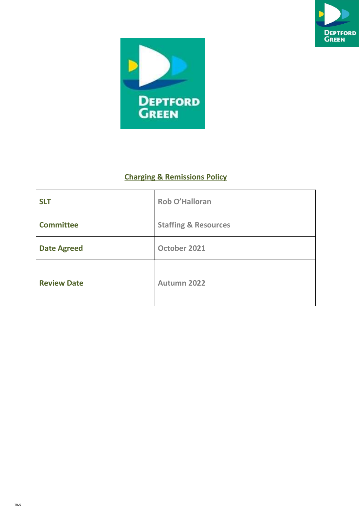



# Charging & Remissions Policy

| <b>SLT</b>         | Rob O'Halloran                  |
|--------------------|---------------------------------|
| <b>Committee</b>   | <b>Staffing &amp; Resources</b> |
| <b>Date Agreed</b> | October 2021                    |
| <b>Review Date</b> | <b>Autumn 2022</b>              |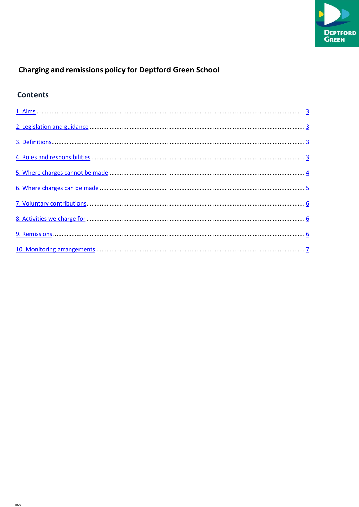

# **Charging and remissions policy for Deptford Green School**

# **Contents**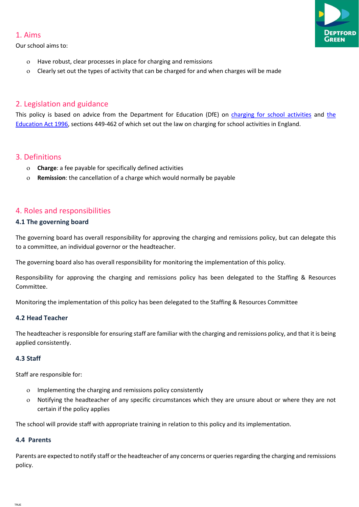#### 1. Aims

Our school aims to:

- Have robust, clear processes in place for charging and remissions
- Clearly set out the types of activity that can be charged for and when charges will be made

# 2. Legislation and guidance

This policy is based on advice from the Department for Education (DfE) on charging for school activities and the Education Act 1996, sections 449-462 of which set out the law on charging for school activities in England.

# 3. Definitions

- Charge: a fee payable for specifically defined activities
- Remission: the cancellation of a charge which would normally be payable

# 4. Roles and responsibilities

#### 4.1 The governing board

The governing board has overall responsibility for approving the charging and remissions policy, but can delegate this to a committee, an individual governor or the headteacher.

The governing board also has overall responsibility for monitoring the implementation of this policy.

Responsibility for approving the charging and remissions policy has been delegated to the Staffing & Resources Committee.

Monitoring the implementation of this policy has been delegated to the Staffing & Resources Committee

#### 4.2 Head Teacher

The headteacher is responsible for ensuring staff are familiar with the charging and remissions policy, and that it is being applied consistently.

### 4.3 Staff

Staff are responsible for:

- Implementing the charging and remissions policy consistently
- Notifying the headteacher of any specific circumstances which they are unsure about or where they are not certain if the policy applies

The school will provide staff with appropriate training in relation to this policy and its implementation.

# 4.4 Parents

Parents are expected to notify staff or the headteacher of any concerns or queries regarding the charging and remissions policy.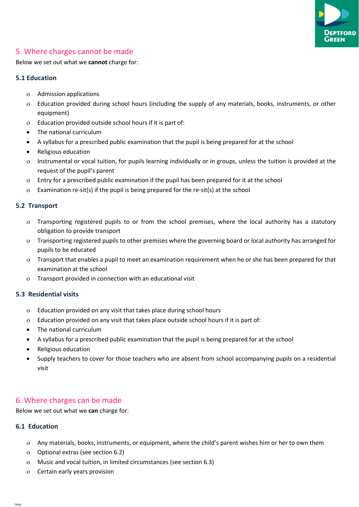

# 5. Where charges cannot be made

Below we set out what we cannot charge for:

#### 5.1 Education

- Admission applications
- Education provided during school hours (including the supply of any materials, books, instruments, or other equipment)
- Education provided outside school hours if it is part of:
- The national curriculum
- A syllabus for a prescribed public examination that the pupil is being prepared for at the school
- Religious education
- Instrumental or vocal tuition, for pupils learning individually or in groups, unless the tuition is provided at the request of the pupil's parent
- Entry for a prescribed public examination if the pupil has been prepared for it at the school
- Examination re-sit(s) if the pupil is being prepared for the re-sit(s) at the school

#### 5.2 Transport

- Transporting registered pupils to or from the school premises, where the local authority has a statutory obligation to provide transport
- Transporting registered pupils to other premises where the governing board or local authority has arranged for pupils to be educated
- Transport that enables a pupil to meet an examination requirement when he or she has been prepared for that examination at the school
- Transport provided in connection with an educational visit

#### 5.3 Residential visits

- Education provided on any visit that takes place during school hours
- Education provided on any visit that takes place outside school hours if it is part of:
- The national curriculum
- A syllabus for a prescribed public examination that the pupil is being prepared for at the school
- Religious education
- Supply teachers to cover for those teachers who are absent from school accompanying pupils on a residential visit

# 6. Where charges can be made

Below we set out what we can charge for:

#### 6.1 Education

- Any materials, books, instruments, or equipment, where the child's parent wishes him or her to own them
- Optional extras (see section 6.2)
- Music and vocal tuition, in limited circumstances (see section 6.3)
- Certain early years provision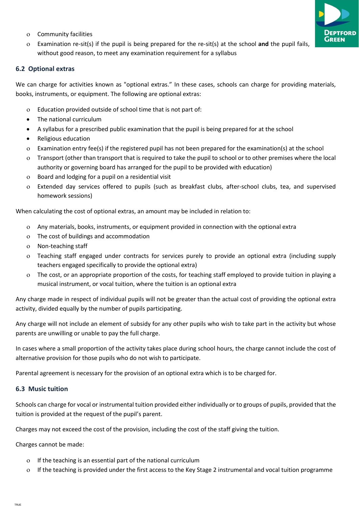

- Community facilities
- $\circ$  Examination re-sit(s) if the pupil is being prepared for the re-sit(s) at the school and the pupil fails, without good reason, to meet any examination requirement for a syllabus

#### 6.2 Optional extras

We can charge for activities known as "optional extras." In these cases, schools can charge for providing materials, books, instruments, or equipment. The following are optional extras:

- Education provided outside of school time that is not part of:
- The national curriculum
- A syllabus for a prescribed public examination that the pupil is being prepared for at the school
- Religious education
- Examination entry fee(s) if the registered pupil has not been prepared for the examination(s) at the school
- Transport (other than transport that is required to take the pupil to school or to other premises where the local authority or governing board has arranged for the pupil to be provided with education)
- Board and lodging for a pupil on a residential visit
- Extended day services offered to pupils (such as breakfast clubs, after-school clubs, tea, and supervised homework sessions)

When calculating the cost of optional extras, an amount may be included in relation to:

- Any materials, books, instruments, or equipment provided in connection with the optional extra
- The cost of buildings and accommodation
- Non-teaching staff
- Teaching staff engaged under contracts for services purely to provide an optional extra (including supply teachers engaged specifically to provide the optional extra)
- The cost, or an appropriate proportion of the costs, for teaching staff employed to provide tuition in playing a musical instrument, or vocal tuition, where the tuition is an optional extra

Any charge made in respect of individual pupils will not be greater than the actual cost of providing the optional extra activity, divided equally by the number of pupils participating.

Any charge will not include an element of subsidy for any other pupils who wish to take part in the activity but whose parents are unwilling or unable to pay the full charge.

In cases where a small proportion of the activity takes place during school hours, the charge cannot include the cost of alternative provision for those pupils who do not wish to participate.

Parental agreement is necessary for the provision of an optional extra which is to be charged for.

#### 6.3 Music tuition

Schools can charge for vocal or instrumental tuition provided either individually or to groups of pupils, provided that the tuition is provided at the request of the pupil's parent.

Charges may not exceed the cost of the provision, including the cost of the staff giving the tuition.

Charges cannot be made:

- If the teaching is an essential part of the national curriculum
- If the teaching is provided under the first access to the Key Stage 2 instrumental and vocal tuition programme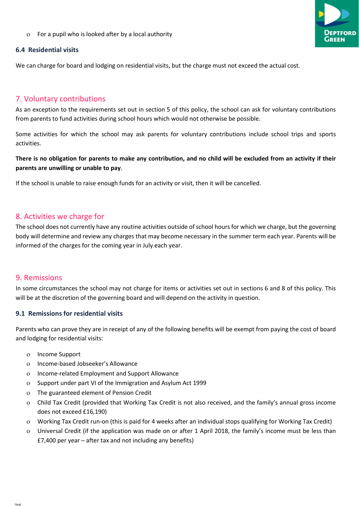For a pupil who is looked after by a local authority

#### 6.4 Residential visits

We can charge for board and lodging on residential visits, but the charge must not exceed the actual cost.

# 7. Voluntary contributions

As an exception to the requirements set out in section 5 of this policy, the school can ask for voluntary contributions from parents to fund activities during school hours which would not otherwise be possible.

Some activities for which the school may ask parents for voluntary contributions include school trips and sports activities.

There is no obligation for parents to make any contribution, and no child will be excluded from an activity if their parents are unwilling or unable to pay.

If the school is unable to raise enough funds for an activity or visit, then it will be cancelled.

# 8. Activities we charge for

The school does not currently have any routine activities outside of school hours for which we charge, but the governing body will determine and review any charges that may become necessary in the summer term each year. Parents will be informed of the charges for the coming year in July each year.

### 9. Remissions

In some circumstances the school may not charge for items or activities set out in sections 6 and 8 of this policy. This will be at the discretion of the governing board and will depend on the activity in question.

### 9.1 Remissions for residential visits

Parents who can prove they are in receipt of any of the following benefits will be exempt from paying the cost of board and lodging for residential visits:

- Income Support
- o Income-based Jobseeker's Allowance
- Income-related Employment and Support Allowance
- Support under part VI of the Immigration and Asylum Act 1999
- The guaranteed element of Pension Credit
- Child Tax Credit (provided that Working Tax Credit is not also received, and the family's annual gross income does not exceed £16,190)
- Working Tax Credit run-on (this is paid for 4 weeks after an individual stops qualifying for Working Tax Credit)
- Universal Credit (if the application was made on or after 1 April 2018, the family's income must be less than £7,400 per year – after tax and not including any benefits)